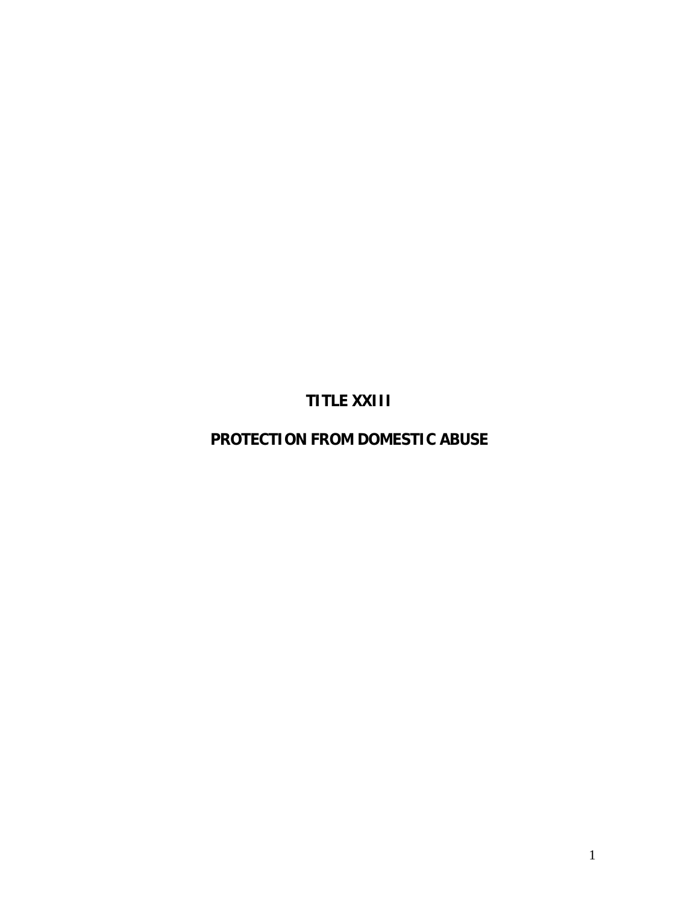**TITLE XXIII** 

**PROTECTION FROM DOMESTIC ABUSE**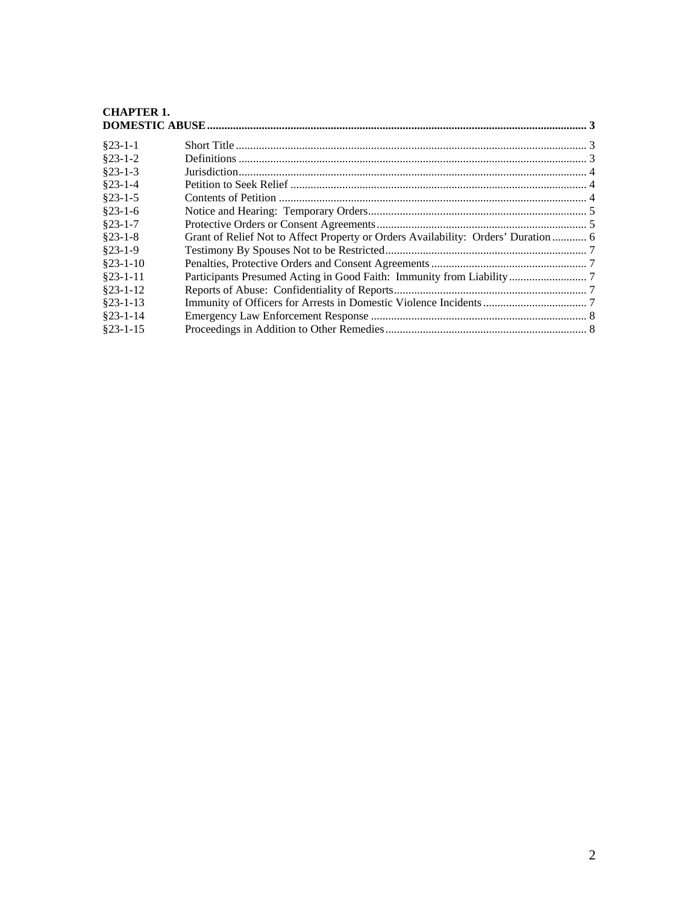# **[CHAPTER 1.](#page-2-0)**

| $§23-1-1$  |                                                                                    |  |
|------------|------------------------------------------------------------------------------------|--|
| $$23-1-2$  |                                                                                    |  |
| $$23-1-3$  |                                                                                    |  |
| $§23-1-4$  |                                                                                    |  |
| $§23-1-5$  |                                                                                    |  |
| $$23-1-6$  |                                                                                    |  |
| $§23-1-7$  |                                                                                    |  |
| $§23-1-8$  | Grant of Relief Not to Affect Property or Orders Availability: Orders' Duration  6 |  |
| $$23-1-9$  |                                                                                    |  |
| $§23-1-10$ |                                                                                    |  |
| $§23-1-11$ |                                                                                    |  |
| $$23-1-12$ |                                                                                    |  |
| $§23-1-13$ |                                                                                    |  |
| $$23-1-14$ |                                                                                    |  |
| $$23-1-15$ |                                                                                    |  |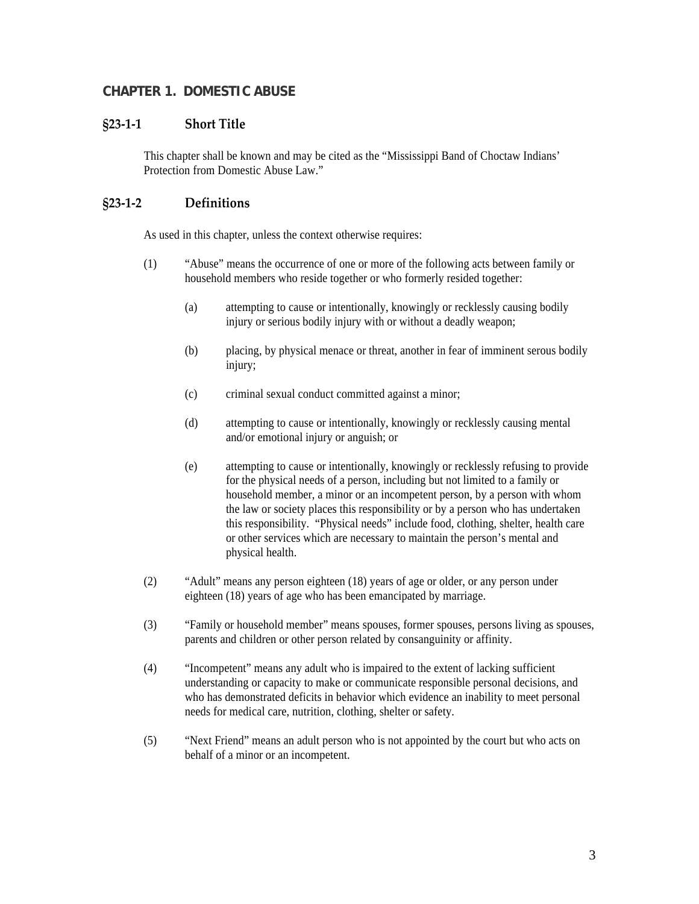### <span id="page-2-0"></span>**CHAPTER 1. DOMESTIC ABUSE**

### **§23‐1‐1 Short Title**

This chapter shall be known and may be cited as the "Mississippi Band of Choctaw Indians' Protection from Domestic Abuse Law."

### **§23‐1‐2 Definitions**

As used in this chapter, unless the context otherwise requires:

- (1) "Abuse" means the occurrence of one or more of the following acts between family or household members who reside together or who formerly resided together:
	- (a) attempting to cause or intentionally, knowingly or recklessly causing bodily injury or serious bodily injury with or without a deadly weapon;
	- (b) placing, by physical menace or threat, another in fear of imminent serous bodily injury;
	- (c) criminal sexual conduct committed against a minor;
	- (d) attempting to cause or intentionally, knowingly or recklessly causing mental and/or emotional injury or anguish; or
	- (e) attempting to cause or intentionally, knowingly or recklessly refusing to provide for the physical needs of a person, including but not limited to a family or household member, a minor or an incompetent person, by a person with whom the law or society places this responsibility or by a person who has undertaken this responsibility. "Physical needs" include food, clothing, shelter, health care or other services which are necessary to maintain the person's mental and physical health.
- (2) "Adult" means any person eighteen (18) years of age or older, or any person under eighteen (18) years of age who has been emancipated by marriage.
- (3) "Family or household member" means spouses, former spouses, persons living as spouses, parents and children or other person related by consanguinity or affinity.
- (4) "Incompetent" means any adult who is impaired to the extent of lacking sufficient understanding or capacity to make or communicate responsible personal decisions, and who has demonstrated deficits in behavior which evidence an inability to meet personal needs for medical care, nutrition, clothing, shelter or safety.
- (5) "Next Friend" means an adult person who is not appointed by the court but who acts on behalf of a minor or an incompetent.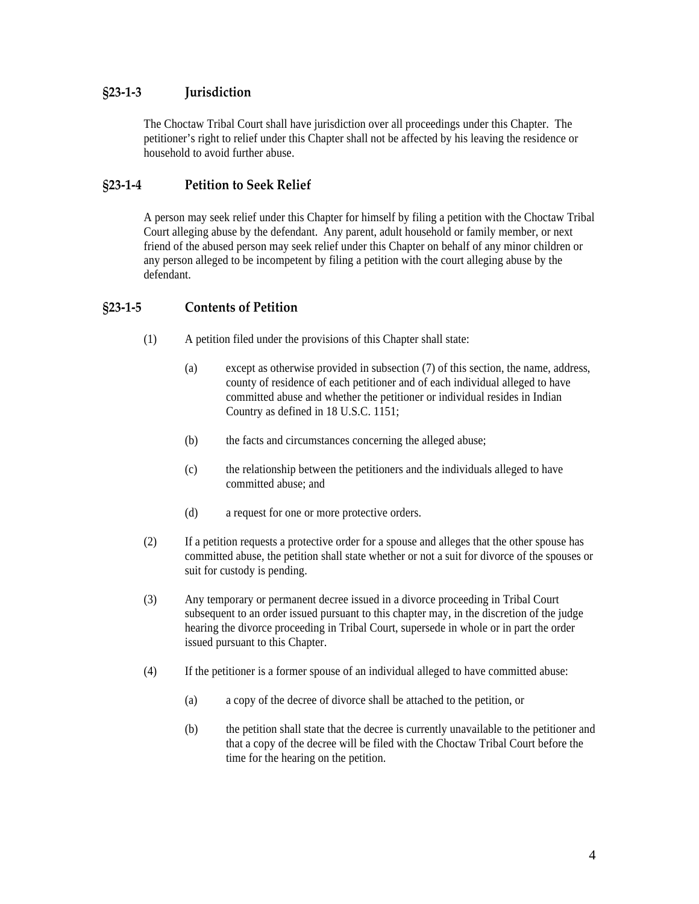## <span id="page-3-0"></span>**§23‐1‐3 Jurisdiction**

The Choctaw Tribal Court shall have jurisdiction over all proceedings under this Chapter. The petitioner's right to relief under this Chapter shall not be affected by his leaving the residence or household to avoid further abuse.

### **§23‐1‐4 Petition to Seek Relief**

A person may seek relief under this Chapter for himself by filing a petition with the Choctaw Tribal Court alleging abuse by the defendant. Any parent, adult household or family member, or next friend of the abused person may seek relief under this Chapter on behalf of any minor children or any person alleged to be incompetent by filing a petition with the court alleging abuse by the defendant.

### **§23‐1‐5 Contents of Petition**

- (1) A petition filed under the provisions of this Chapter shall state:
	- (a) except as otherwise provided in subsection (7) of this section, the name, address, county of residence of each petitioner and of each individual alleged to have committed abuse and whether the petitioner or individual resides in Indian Country as defined in 18 U.S.C. 1151;
	- (b) the facts and circumstances concerning the alleged abuse;
	- (c) the relationship between the petitioners and the individuals alleged to have committed abuse; and
	- (d) a request for one or more protective orders.
- (2) If a petition requests a protective order for a spouse and alleges that the other spouse has committed abuse, the petition shall state whether or not a suit for divorce of the spouses or suit for custody is pending.
- (3) Any temporary or permanent decree issued in a divorce proceeding in Tribal Court subsequent to an order issued pursuant to this chapter may, in the discretion of the judge hearing the divorce proceeding in Tribal Court, supersede in whole or in part the order issued pursuant to this Chapter.
- (4) If the petitioner is a former spouse of an individual alleged to have committed abuse:
	- (a) a copy of the decree of divorce shall be attached to the petition, or
	- (b) the petition shall state that the decree is currently unavailable to the petitioner and that a copy of the decree will be filed with the Choctaw Tribal Court before the time for the hearing on the petition.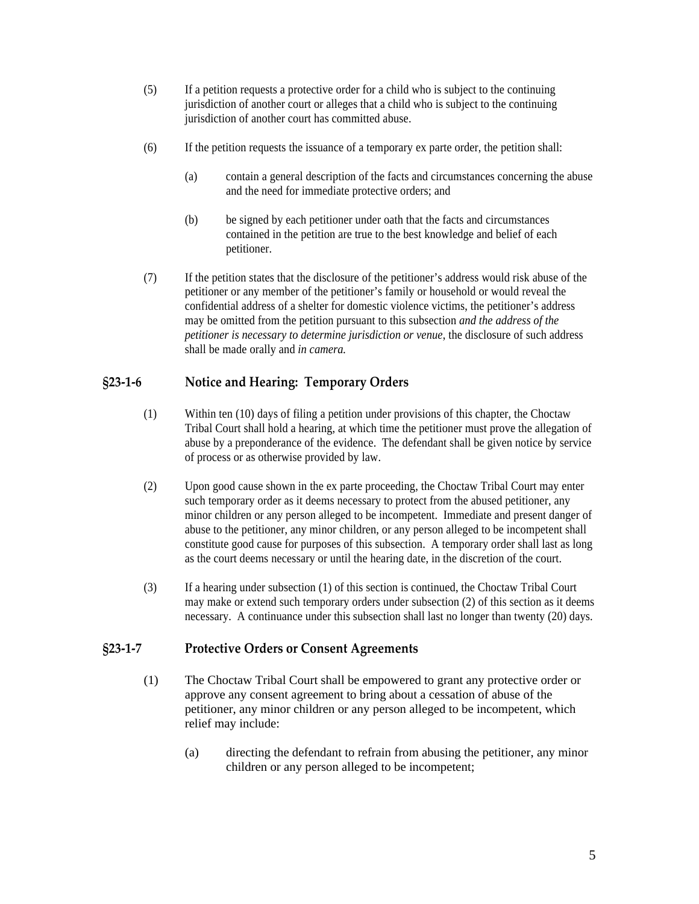- <span id="page-4-0"></span>(5) If a petition requests a protective order for a child who is subject to the continuing jurisdiction of another court or alleges that a child who is subject to the continuing jurisdiction of another court has committed abuse.
- (6) If the petition requests the issuance of a temporary ex parte order, the petition shall:
	- (a) contain a general description of the facts and circumstances concerning the abuse and the need for immediate protective orders; and
	- (b) be signed by each petitioner under oath that the facts and circumstances contained in the petition are true to the best knowledge and belief of each petitioner.
- (7) If the petition states that the disclosure of the petitioner's address would risk abuse of the petitioner or any member of the petitioner's family or household or would reveal the confidential address of a shelter for domestic violence victims, the petitioner's address may be omitted from the petition pursuant to this subsection *and the address of the petitioner is necessary to determine jurisdiction or venue*, the disclosure of such address shall be made orally and *in camera.*

# **§23‐1‐6 Notice and Hearing: Temporary Orders**

- (1) Within ten (10) days of filing a petition under provisions of this chapter, the Choctaw Tribal Court shall hold a hearing, at which time the petitioner must prove the allegation of abuse by a preponderance of the evidence. The defendant shall be given notice by service of process or as otherwise provided by law.
- (2) Upon good cause shown in the ex parte proceeding, the Choctaw Tribal Court may enter such temporary order as it deems necessary to protect from the abused petitioner, any minor children or any person alleged to be incompetent. Immediate and present danger of abuse to the petitioner, any minor children, or any person alleged to be incompetent shall constitute good cause for purposes of this subsection. A temporary order shall last as long as the court deems necessary or until the hearing date, in the discretion of the court.
- (3) If a hearing under subsection (1) of this section is continued, the Choctaw Tribal Court may make or extend such temporary orders under subsection (2) of this section as it deems necessary. A continuance under this subsection shall last no longer than twenty (20) days.

### **§23‐1‐7 Protective Orders or Consent Agreements**

- (1) The Choctaw Tribal Court shall be empowered to grant any protective order or approve any consent agreement to bring about a cessation of abuse of the petitioner, any minor children or any person alleged to be incompetent, which relief may include:
	- (a) directing the defendant to refrain from abusing the petitioner, any minor children or any person alleged to be incompetent;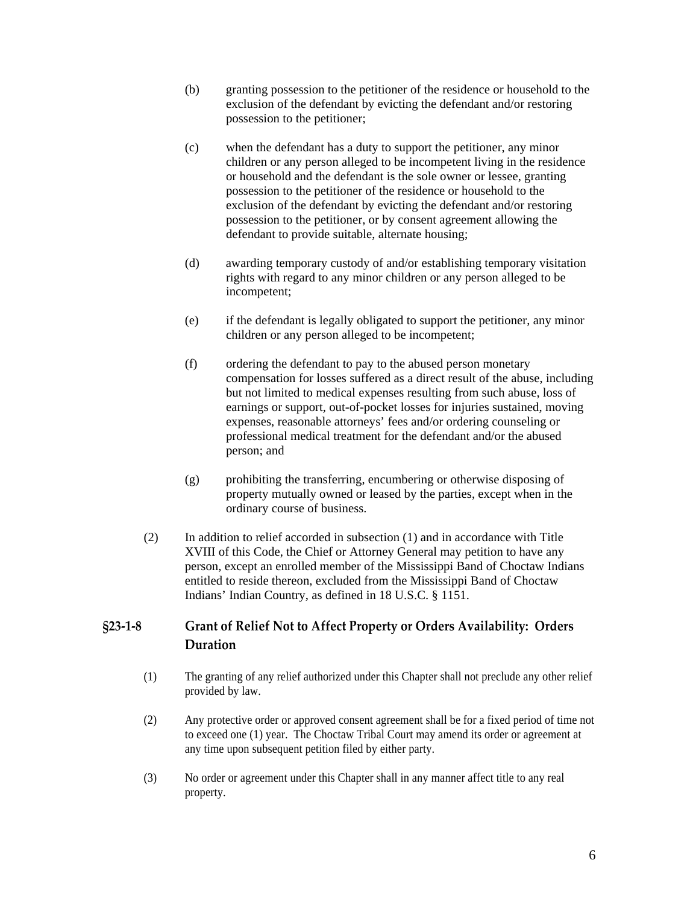- <span id="page-5-0"></span>(b) granting possession to the petitioner of the residence or household to the exclusion of the defendant by evicting the defendant and/or restoring possession to the petitioner;
- (c) when the defendant has a duty to support the petitioner, any minor children or any person alleged to be incompetent living in the residence or household and the defendant is the sole owner or lessee, granting possession to the petitioner of the residence or household to the exclusion of the defendant by evicting the defendant and/or restoring possession to the petitioner, or by consent agreement allowing the defendant to provide suitable, alternate housing;
- (d) awarding temporary custody of and/or establishing temporary visitation rights with regard to any minor children or any person alleged to be incompetent;
- (e) if the defendant is legally obligated to support the petitioner, any minor children or any person alleged to be incompetent;
- (f) ordering the defendant to pay to the abused person monetary compensation for losses suffered as a direct result of the abuse, including but not limited to medical expenses resulting from such abuse, loss of earnings or support, out-of-pocket losses for injuries sustained, moving expenses, reasonable attorneys' fees and/or ordering counseling or professional medical treatment for the defendant and/or the abused person; and
- (g) prohibiting the transferring, encumbering or otherwise disposing of property mutually owned or leased by the parties, except when in the ordinary course of business.
- (2) In addition to relief accorded in subsection (1) and in accordance with Title XVIII of this Code, the Chief or Attorney General may petition to have any person, except an enrolled member of the Mississippi Band of Choctaw Indians entitled to reside thereon, excluded from the Mississippi Band of Choctaw Indians' Indian Country, as defined in 18 U.S.C. § 1151.

# **§23‐1‐8 Grant of Relief Not to Affect Property or Orders Availability: Orders Duration**

- (1) The granting of any relief authorized under this Chapter shall not preclude any other relief provided by law.
- (2) Any protective order or approved consent agreement shall be for a fixed period of time not to exceed one (1) year. The Choctaw Tribal Court may amend its order or agreement at any time upon subsequent petition filed by either party.
- (3) No order or agreement under this Chapter shall in any manner affect title to any real property.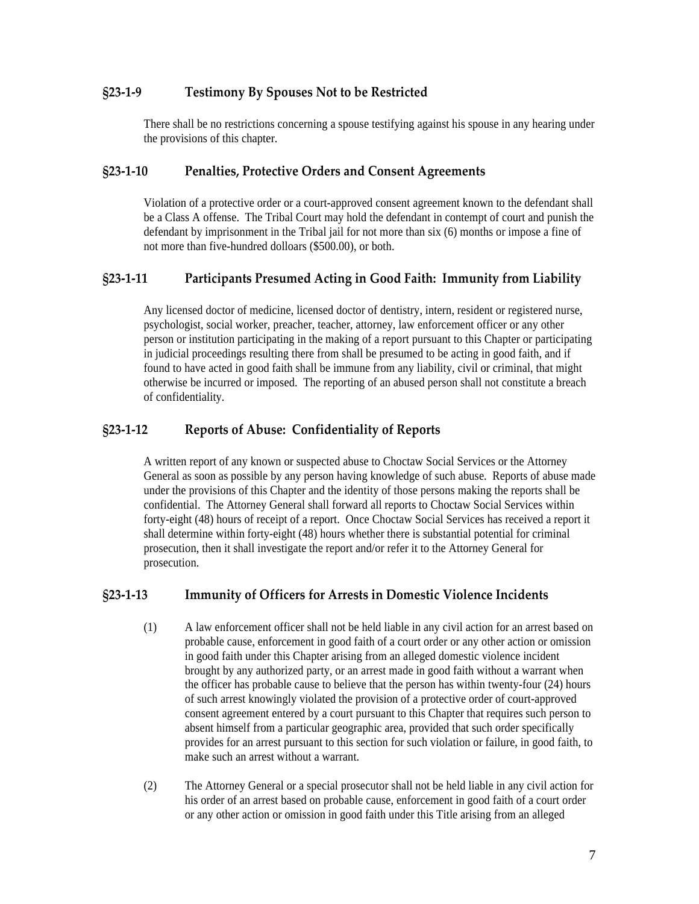### <span id="page-6-0"></span>**§23‐1‐9 Testimony By Spouses Not to be Restricted**

There shall be no restrictions concerning a spouse testifying against his spouse in any hearing under the provisions of this chapter.

#### **§23‐1‐10 Penalties, Protective Orders and Consent Agreements**

Violation of a protective order or a court-approved consent agreement known to the defendant shall be a Class A offense. The Tribal Court may hold the defendant in contempt of court and punish the defendant by imprisonment in the Tribal jail for not more than six (6) months or impose a fine of not more than five-hundred dolloars (\$500.00), or both.

### **§23‐1‐11 Participants Presumed Acting in Good Faith: Immunity from Liability**

Any licensed doctor of medicine, licensed doctor of dentistry, intern, resident or registered nurse, psychologist, social worker, preacher, teacher, attorney, law enforcement officer or any other person or institution participating in the making of a report pursuant to this Chapter or participating in judicial proceedings resulting there from shall be presumed to be acting in good faith, and if found to have acted in good faith shall be immune from any liability, civil or criminal, that might otherwise be incurred or imposed. The reporting of an abused person shall not constitute a breach of confidentiality.

#### **§23‐1‐12 Reports of Abuse: Confidentiality of Reports**

A written report of any known or suspected abuse to Choctaw Social Services or the Attorney General as soon as possible by any person having knowledge of such abuse. Reports of abuse made under the provisions of this Chapter and the identity of those persons making the reports shall be confidential. The Attorney General shall forward all reports to Choctaw Social Services within forty-eight (48) hours of receipt of a report. Once Choctaw Social Services has received a report it shall determine within forty-eight (48) hours whether there is substantial potential for criminal prosecution, then it shall investigate the report and/or refer it to the Attorney General for prosecution.

#### **§23‐1‐13 Immunity of Officers for Arrests in Domestic Violence Incidents**

- (1) A law enforcement officer shall not be held liable in any civil action for an arrest based on probable cause, enforcement in good faith of a court order or any other action or omission in good faith under this Chapter arising from an alleged domestic violence incident brought by any authorized party, or an arrest made in good faith without a warrant when the officer has probable cause to believe that the person has within twenty-four (24) hours of such arrest knowingly violated the provision of a protective order of court-approved consent agreement entered by a court pursuant to this Chapter that requires such person to absent himself from a particular geographic area, provided that such order specifically provides for an arrest pursuant to this section for such violation or failure, in good faith, to make such an arrest without a warrant.
- (2) The Attorney General or a special prosecutor shall not be held liable in any civil action for his order of an arrest based on probable cause, enforcement in good faith of a court order or any other action or omission in good faith under this Title arising from an alleged